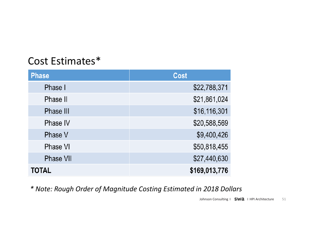## Cost Estimates\*

| <b>Phase</b>     | <b>Cost</b>   |
|------------------|---------------|
| Phase I          | \$22,788,371  |
| Phase II         | \$21,861,024  |
| Phase III        | \$16,116,301  |
| Phase IV         | \$20,588,569  |
| Phase V          | \$9,400,426   |
| Phase VI         | \$50,818,455  |
| <b>Phase VII</b> | \$27,440,630  |
| TOTAL            | \$169,013,776 |

*\* Note: Rough Order of Magnitude Costing Estimated in 2018 Dollars*

Johnson Consulting | SWa | HPI Architecture 51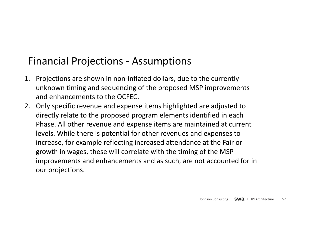## Financial Projections - Assumptions

- 1. Projections are shown in non-inflated dollars, due to the currently unknown timing and sequencing of the proposed MSP improvements and enhancements to the OCFEC.
- 2. Only specific revenue and expense items highlighted are adjusted to directly relate to the proposed program elements identified in each Phase. All other revenue and expense items are maintained at current levels. While there is potential for other revenues and expenses to increase, for example reflecting increased attendance at the Fair or growth in wages, these will correlate with the timing of the MSP improvements and enhancements and as such, are not accounted for in our projections.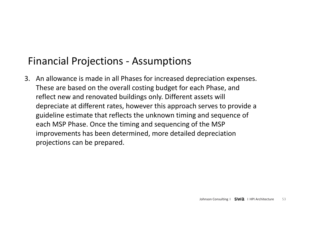## Financial Projections - Assumptions

3. An allowance is made in all Phases for increased depreciation expenses. These are based on the overall costing budget for each Phase, and reflect new and renovated buildings only. Different assets will depreciate at different rates, however this approach serves to provide a guideline estimate that reflects the unknown timing and sequence of each MSP Phase. Once the timing and sequencing of the MSP improvements has been determined, more detailed depreciation projections can be prepared.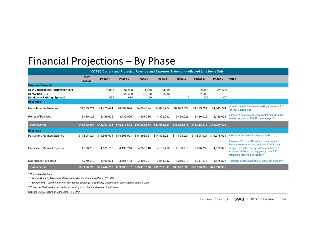## Financial Projections – By Phase

| OCFEC Current and Projected Revenue and Expenses Statement - Affected Line Items Only* |                |               |                         |                           |                             |              |                           |                |                                                                                                                                                                                                                                         |
|----------------------------------------------------------------------------------------|----------------|---------------|-------------------------|---------------------------|-----------------------------|--------------|---------------------------|----------------|-----------------------------------------------------------------------------------------------------------------------------------------------------------------------------------------------------------------------------------------|
|                                                                                        | 2017<br>Actual | Phase 1       | Phase 2                 | Phase 3                   | Phase 4                     | Phase 5      | Phase 6                   | Phase 7        | <b>Notes</b>                                                                                                                                                                                                                            |
| <b>Program Elements</b>                                                                |                |               |                         |                           |                             |              |                           |                |                                                                                                                                                                                                                                         |
| New Construction/ Renovation (SF)<br>Demolition (SF)<br>Net Gain in Parking (Spaces)   |                | 15.000<br>525 | 32.950<br>22,300<br>634 | 1.900<br>36,900<br>$-100$ | 34,300<br>8.790<br>$\Omega$ | $\Omega$     | 3.000<br>21,300<br>$-100$ | 220.500<br>307 |                                                                                                                                                                                                                                         |
| <b>Revenues</b>                                                                        |                |               |                         |                           |                             |              |                           |                |                                                                                                                                                                                                                                         |
| Miscellaneous Revenue                                                                  | \$4,899,724    | \$4,978,474   | \$4.994.824             | \$4,899,724               | \$4,899,724                 | \$4,899,724  | \$4,899,724               | \$4,945,774    | Includes rental of additional parking spaces at \$10<br>for days during Fair                                                                                                                                                            |
| <b>Rental of Facilities</b>                                                            | 3,439,026      | 3,439,026     | 3,439,026               | 3,307,026                 | 4,306,082                   | 3,439,026    | 3,439,026                 | 3,439,026      | In Phase 4 assumes 16 incremental Amphitheater<br>events per year at \$54,191 average profit                                                                                                                                            |
| <b>Total Revenue</b>                                                                   | \$43,672,004   | \$46,297,328  | \$46,313,678            | \$46,086,578              | \$47,085,634                | \$46,218,578 | \$46,218,578              | \$46,264,628   |                                                                                                                                                                                                                                         |
| <b>Expenses</b>                                                                        |                |               |                         |                           |                             |              |                           |                |                                                                                                                                                                                                                                         |
| Payroll and Related Expense                                                            | \$14.898.921   | \$14.898.921  | \$14,898,921            | \$14.898.921              | \$14,898,921                | \$14,898,921 | \$14,898,921              | \$14,978,921   | In Phase 7 assumes 2 additional staff                                                                                                                                                                                                   |
| Facility and Related Expense                                                           | 4,130,716      | 4,163,116     | 4,130,716               | 4,055,116                 | 4,130,716                   | 4,130,716    | 3,970,756                 | 4,622,346      | Assumes \$2.16 per SF in incremental space**;<br>Savings from demolition; in Phase 6 \$0.20 pkw h<br>saving from solar energy; in Phase 7 Assumes<br>increase utilities at parking garage, plus \$50<br>maintance reserve per space**** |
| <b>Depreciation Expense</b>                                                            | 3,279,919      | 3,469,534     | 3,465,418               | 3,308,797                 | 3,541,052                   | 3,279,919    | 3,311,073                 | 3.778.527      | Assumes depreciation rate of 2.6% per annum***                                                                                                                                                                                          |
| <b>Total Expense</b>                                                                   | \$38,226,790   | \$39,744,713  | \$39,708,197            | \$39,475,976              | \$39,783,831                | \$39,522,698 | \$39,393,892              | \$40,592,936   |                                                                                                                                                                                                                                         |

*\* Non-inflated dollars*

*\*\* Source: Building Owners and Managers Association International (BOMA)*

*\*\*\* Source: IRS - useful life of non-residential buildings is 39 years; Depreciation calculated at value x 2.6%*

*\*\*\*\* Source: Carl Walker Inc, national parking consultant and research publisher*

Source: OCFEC, Johnson Consulting, HPI, SWA